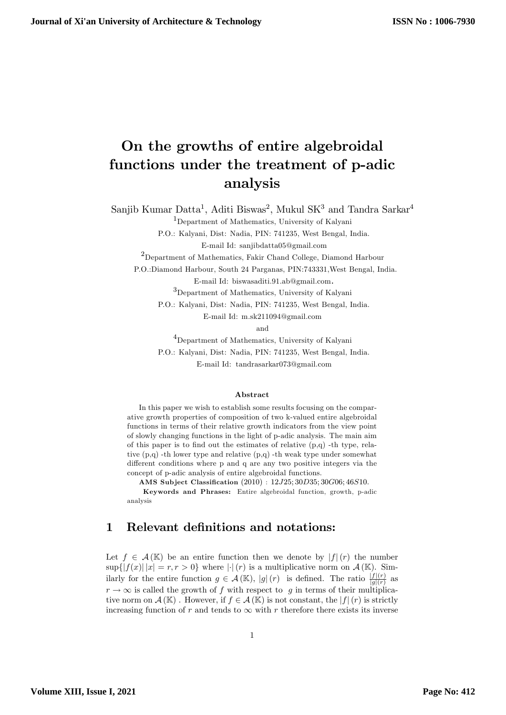# On the growths of entire algebroidal functions under the treatment of p-adic analysis

Sanjib Kumar Datta<sup>1</sup>, Aditi Biswas<sup>2</sup>, Mukul SK<sup>3</sup> and Tandra Sarkar<sup>4</sup>

<sup>1</sup>Department of Mathematics, University of Kalyani

P.O.: Kalyani, Dist: Nadia, PIN: 741235, West Bengal, India.

E-mail Id: sanjibdatta05@gmail.com

<sup>2</sup>Department of Mathematics, Fakir Chand College, Diamond Harbour

P.O.:Diamond Harbour, South 24 Parganas, PIN:743331,West Bengal, India.

E-mail Id: biswasaditi.91.ab@gmail.com.

<sup>3</sup>Department of Mathematics, University of Kalyani

P.O.: Kalyani, Dist: Nadia, PIN: 741235, West Bengal, India.

E-mail Id: m.sk211094@gmail.com

and

<sup>4</sup>Department of Mathematics, University of Kalyani P.O.: Kalyani, Dist: Nadia, PIN: 741235, West Bengal, India. E-mail Id: tandrasarkar073@gmail.com

#### Abstract

In this paper we wish to establish some results focusing on the comparative growth properties of composition of two k-valued entire algebroidal functions in terms of their relative growth indicators from the view point of slowly changing functions in the light of p-adic analysis. The main aim of this paper is to find out the estimates of relative  $(p,q)$  -th type, relative (p,q) -th lower type and relative (p,q) -th weak type under somewhat different conditions where p and q are any two positive integers via the concept of p-adic analysis of entire algebroidal functions.

AMS Subject Classification  $(2010)$ :  $12J25; 30D35; 30G06; 46S10$ .

Keywords and Phrases: Entire algebroidal function, growth, p-adic analysis

#### 1 Relevant definitions and notations:

Let  $f \in \mathcal{A}(\mathbb{K})$  be an entire function then we denote by  $|f|(r)$  the number  $\sup\{|f(x)| |x| = r, r > 0\}$  where  $|\cdot|(r)$  is a multiplicative norm on  $\mathcal{A}(\mathbb{K})$ . Similarly for the entire function  $g \in \mathcal{A}(\mathbb{K})$ ,  $|g|(r)$  is defined. The ratio  $\frac{|f|(r)}{|g|(r)}$  as  $r \to \infty$  is called the growth of f with respect to g in terms of their multiplicative norm on  $\mathcal{A}(\mathbb{K})$ . However, if  $f \in \mathcal{A}(\mathbb{K})$  is not constant, the  $|f|(r)$  is strictly increasing function of r and tends to  $\infty$  with r therefore there exists its inverse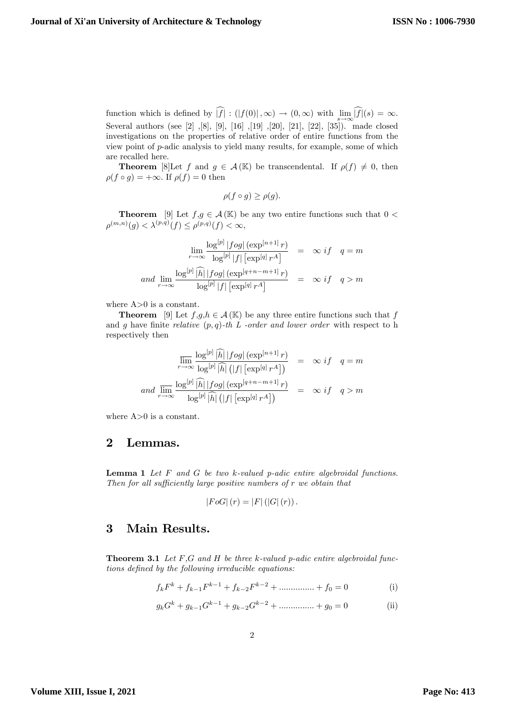function which is defined by  $|f| : (|f(0)|, \infty) \to (0, \infty)$  with  $\lim_{s \to \infty} |f|(s) = \infty$ . Several authors (see [2] ,[8], [9], [16] ,[19] ,[20], [21], [22], [35]). made closed investigations on the properties of relative order of entire functions from the view point of p-adic analysis to yield many results, for example, some of which are recalled here.

**Theorem** [8]Let f and  $g \in \mathcal{A}(\mathbb{K})$  be transcendental. If  $\rho(f) \neq 0$ , then  $\rho(f \circ g) = +\infty.$  If  $\rho(f) = 0$  then

$$
\rho(f \circ g) \ge \rho(g).
$$

**Theorem** [9] Let  $f,g \in \mathcal{A}(\mathbb{K})$  be any two entire functions such that  $0 <$  $\rho^{(m,n)}(g) < \lambda^{(p,q)}(f) \leq \rho^{(p,q)}(f) < \infty,$ 

$$
\lim_{r \to \infty} \frac{\log^{[p]} |fog| (\exp^{[n+1]} r)}{\log^{[p]} |f| [\exp^{[q]} r^A]} = \infty \text{ if } q = m
$$
  
and 
$$
\lim_{r \to \infty} \frac{\log^{[p]} |\widehat{h}| |fog| (\exp^{[q+n-m+1]} r)}{\log^{[p]} |f| [\exp^{[q]} r^A]} = \infty \text{ if } q > m
$$

where  $A>0$  is a constant.

**Theorem** [9] Let  $f,g,h \in \mathcal{A}(\mathbb{K})$  be any three entire functions such that f and g have finite relative  $(p, q)$ -th L -order and lower order with respect to h respectively then

$$
\overline{\lim}_{r \to \infty} \frac{\log^{[p]} \widehat{|h|} |fog| (\exp^{[n+1]} r)}{\log^{[p]} \widehat{|h|} (|f| [\exp^{[q]} r^A])} = \infty \text{ if } q = m
$$
\n
$$
\overline{\lim}_{r \to \infty} \frac{\log^{[p]} \widehat{|h|} |fog| (\exp^{[q+n-m+1]} r)}{\log^{[p]} \widehat{|h|} (|f| [\exp^{[q]} r^A])} = \infty \text{ if } q > m
$$

where  $A>0$  is a constant.

### 2 Lemmas.

**Lemma 1** Let  $F$  and  $G$  be two  $k$ -valued  $p$ -adic entire algebroidal functions. Then for all sufficiently large positive numbers of  $r$  we obtain that

$$
|FoG|(r) = |F|(|G|(r)).
$$

## 3 Main Results.

**Theorem 3.1** Let  $F$ ,  $G$  and  $H$  be three  $k$ -valued p-adic entire algebroidal functions defined by the following irreducible equations:

$$
f_k F^k + f_{k-1} F^{k-1} + f_{k-2} F^{k-2} + \dots + f_0 = 0
$$
 (i)

$$
g_k G^k + g_{k-1} G^{k-1} + g_{k-2} G^{k-2} + \dots + g_0 = 0
$$
 (ii)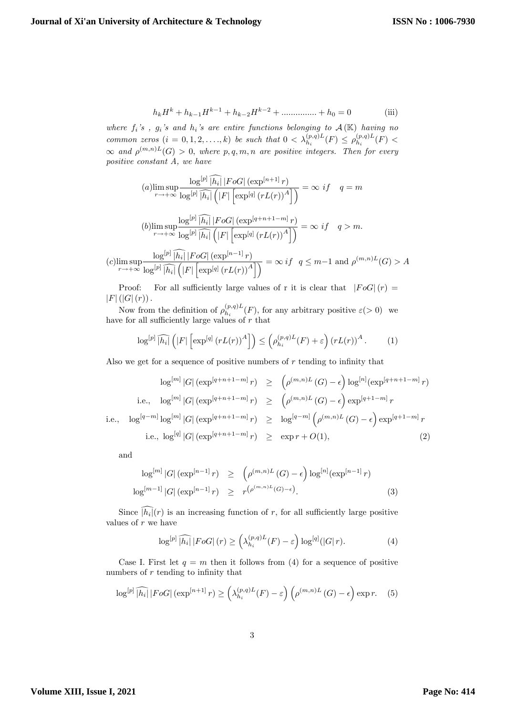$$
h_k H^k + h_{k-1} H^{k-1} + h_{k-2} H^{k-2} + \dots + h_0 = 0
$$
 (iii)

where  $f_i$ 's,  $g_i$ 's and  $h_i$ 's are entire functions belonging to  $\mathcal{A}(\mathbb{K})$  having no common zeros  $(i = 0, 1, 2, ..., k)$  be such that  $0 < \lambda_{h_i}^{(p,q)L}(F) \leq \rho_{h_i}^{(p,q)L}$  $\zeta^{(p,q)L}_{h_i}(F)$  <  $\infty$  and  $\rho^{(m,n)L}(G) > 0$ , where  $p,q,m,n$  are positive integers. Then for every positive constant A, we have

(a) 
$$
\limsup_{r \to +\infty} \frac{\log^{[p]} \widehat{|h_i|} |F \circ G| \left(\exp^{[n+1]} r\right)}{\log^{[p]} \widehat{|h_i|} \left(|F| \left[\exp^{[q]} \left(rL(r)\right)^A\right]\right)} = \infty \text{ if } q = m
$$
  
(b) 
$$
\limsup_{r \to +\infty} \frac{\log^{[p]} \widehat{|h_i|} |F \circ G| \left(\exp^{[q+n+1-m]} r\right)}{\log^{[p]} \widehat{|h_i|} \left(|F| \left[\exp^{[q]} \left(rL(r)\right)^A\right]\right)} = \infty \text{ if } q > m.
$$
  

$$
\log^{[p]} \widehat{|h_i|} |F \circ G| \left(\exp^{[n-1]} r\right) \qquad \text{if } q > m.
$$

$$
(c)\limsup_{r \to +\infty} \frac{\log^{|p|} |h_i| |F o G| \left(\exp^{\lfloor n-1 \rfloor} r\right)}{\log^{\lfloor p \rfloor} |\widehat{h_i}| \left(\left|F\right| \left[\exp^{\lfloor q \rfloor} \left(r L(r)\right)^A\right]\right)} = \infty \ if \ q \leq m-1 \text{ and } \rho^{(m,n)L}(G) > A
$$

Proof: For all sufficiently large values of r it is clear that  $|F \circ G|(r) =$  $|F|(|G|(r)).$ 

Now from the definition of  $\rho_{h_i}^{(p,q)L}$  $h_i^{(p,q)L}(F)$ , for any arbitrary positive  $\varepsilon(>0)$  we have for all sufficiently large values of  $r$  that

$$
\log^{[p]} \widehat{|h_i|} \left( |F| \left[ \exp^{[q]} \left( rL(r) \right)^A \right] \right) \leq \left( \rho_{h_i}^{(p,q)L}(F) + \varepsilon \right) \left( rL(r) \right)^A. \tag{1}
$$

Also we get for a sequence of positive numbers of  $r$  tending to infinity that

$$
\log^{[m]}|G| \left(\exp^{[q+n+1-m]}r\right) \ge \left(\rho^{(m,n)L}(G) - \epsilon\right) \log^{[n]}(\exp^{[q+n+1-m]}r)
$$
  
i.e.,  $\log^{[m]}|G| \left(\exp^{[q+n+1-m]}r\right) \ge \left(\rho^{(m,n)L}(G) - \epsilon\right) \exp^{[q+1-m]}r$   
i.e.,  $\log^{[q-m]} \log^{[m]}|G| \left(\exp^{[q+n+1-m]}r\right) \ge \log^{[q-m]} \left(\rho^{(m,n)L}(G) - \epsilon\right) \exp^{[q+1-m]}r$   
i.e.,  $\log^{[q]}|G| \left(\exp^{[q+n+1-m]}r\right) \ge \exp r + O(1),$  (2)

and

$$
\log^{[m]}|G| \left(\exp^{[n-1]}r\right) \ge \left(\rho^{(m,n)L}(G) - \epsilon\right) \log^{[n]}(\exp^{[n-1]}r)
$$
  

$$
\log^{[m-1]}|G| \left(\exp^{[n-1]}r\right) \ge r^{\left(\rho^{(m,n)L}(G) - \epsilon\right)}.
$$
 (3)

Since  $|h_i|(r)$  is an increasing function of r, for all sufficiently large positive values of  $r$  we have

$$
\log^{[p]} \widehat{|h_i|} |F o G| (r) \ge \left(\lambda_{h_i}^{(p,q)L}(F) - \varepsilon\right) \log^{[q]}(|G| r). \tag{4}
$$

Case I. First let  $q = m$  then it follows from (4) for a sequence of positive numbers of  $r$  tending to infinity that

$$
\log^{[p]} \widehat{|h_i|} |F \circ G| \left(\exp^{[n+1]} r\right) \ge \left(\lambda_{h_i}^{(p,q)L}(F) - \varepsilon\right) \left(\rho^{(m,n)L}(G) - \epsilon\right) \exp r. \tag{5}
$$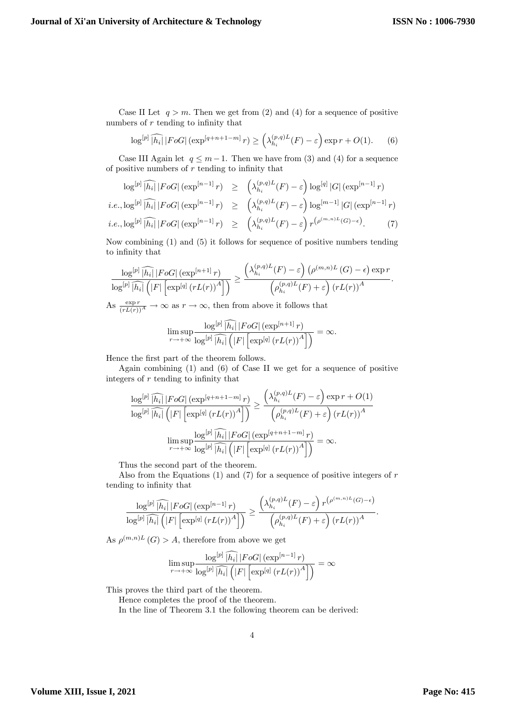Case II Let  $q > m$ . Then we get from (2) and (4) for a sequence of positive numbers of  $r$  tending to infinity that

$$
\log^{[p]} \widehat{|h_i|} |F \circ G| \left( \exp^{[q+n+1-m]} r \right) \ge \left( \lambda_{h_i}^{(p,q)L}(F) - \varepsilon \right) \exp r + O(1). \tag{6}
$$

Case III Again let  $q \leq m-1$ . Then we have from (3) and (4) for a sequence of positive numbers of  $r$  tending to infinity that

$$
\log^{[p]} \widehat{|h_i|} |F \circ G| \left(\exp^{[n-1]} r\right) \ge \left(\lambda_{h_i}^{(p,q)L}(F) - \varepsilon\right) \log^{[q]} |G| \left(\exp^{[n-1]} r\right)
$$
  
*i.e.*,  $\log^{[p]} \widehat{|h_i|} |F \circ G| \left(\exp^{[n-1]} r\right) \ge \left(\lambda_{h_i}^{(p,q)L}(F) - \varepsilon\right) \log^{[m-1]} |G| \left(\exp^{[n-1]} r\right)$   
*i.e.*,  $\log^{[p]} \widehat{|h_i|} |F \circ G| \left(\exp^{[n-1]} r\right) \ge \left(\lambda_{h_i}^{(p,q)L}(F) - \varepsilon\right) r^{\left(\rho^{(m,n)L}(G) - \epsilon\right)}.$  (7)

Now combining (1) and (5) it follows for sequence of positive numbers tending to infinity that

$$
\frac{\log^{[p]}\widehat{|h_i|} |F \circ G| \left(\exp^{[n+1]} r\right)}{\log^{[p]}\widehat{|h_i|} \left(|F| \left[\exp^{[q]} \left(r L(r)\right)^A\right]\right)} \ge \frac{\left(\lambda_{h_i}^{(p,q)L}(F) - \varepsilon\right) \left(\rho^{(m,n)L}(G) - \epsilon\right) \exp r}{\left(\rho_{h_i}^{(p,q)L}(F) + \varepsilon\right) \left(r L(r)\right)^A}.
$$

As  $\frac{\exp r}{(rL(r))^A} \to \infty$  as  $r \to \infty$ , then from above it follows that

$$
\limsup_{r \to +\infty} \frac{\log^{[p]} \widehat{|h_i|} |F o G| \left(\exp^{[n+1]} r\right)}{\log^{[p]} \widehat{|h_i|} \left(\left|F\right| \left[\exp^{[q]} \left(r L(r)\right)^A\right]\right)} = \infty.
$$

Hence the first part of the theorem follows.

Again combining (1) and (6) of Case II we get for a sequence of positive integers of  $r$  tending to infinity that

$$
\frac{\log^{[p]} \widehat{|h_i|} |F \circ G| \left(\exp^{[q+n+1-m]} r\right)}{\log^{[p]} \widehat{|h_i|} \left(|F| \left[\exp^{[q]} \left(r L(r)\right)^A\right]\right)} \ge \frac{\left(\lambda_{h_i}^{(p,q)L}(F) - \varepsilon\right) \exp r + O(1)}{\left(\rho_{h_i}^{(p,q)L}(F) + \varepsilon\right) \left(r L(r)\right)^A}
$$
\n
$$
\limsup_{r \to +\infty} \frac{\log^{[p]} \widehat{|h_i|} |F \circ G| \left(\exp^{[q+n+1-m]} r\right)}{\log^{[p]} \widehat{|h_i|} \left(|F| \left[\exp^{[q]} \left(r L(r)\right)^A\right]\right)} = \infty.
$$

Thus the second part of the theorem.

Also from the Equations  $(1)$  and  $(7)$  for a sequence of positive integers of r tending to infinity that

$$
\frac{\log^{[p]}\widehat{\left|h_{i}\right|}\left|FoG\right|\left(\exp^{[n-1]}r\right)}{\log^{[p]}\widehat{\left|h_{i}\right|}\left(\left|F\right|\left[\exp^{[q]}\left(rL(r)\right)^{A}\right]\right)} \geq \frac{\left(\lambda_{h_{i}}^{(p,q)L}(F)-\varepsilon\right)r^{\left(\rho^{(m,n)L}(G)-\epsilon\right)}}{\left(\rho_{h_{i}}^{(p,q)L}(F)+\varepsilon\right)\left(rL(r)\right)^{A}}.
$$

As  $\rho^{(m,n)L}(G) > A$ , therefore from above we get

$$
\limsup_{r \to +\infty} \frac{\log^{[p]} \lceil h_i \rceil |F o G| \left(\exp^{[n-1]} r\right)}{\log^{[p]} \lceil h_i \rceil \left(|F| \left[\exp^{[q]} \left(r L(r)\right)^A\right]\right)} = \infty
$$

This proves the third part of the theorem.

Hence completes the proof of the theorem.

In the line of Theorem 3.1 the following theorem can be derived: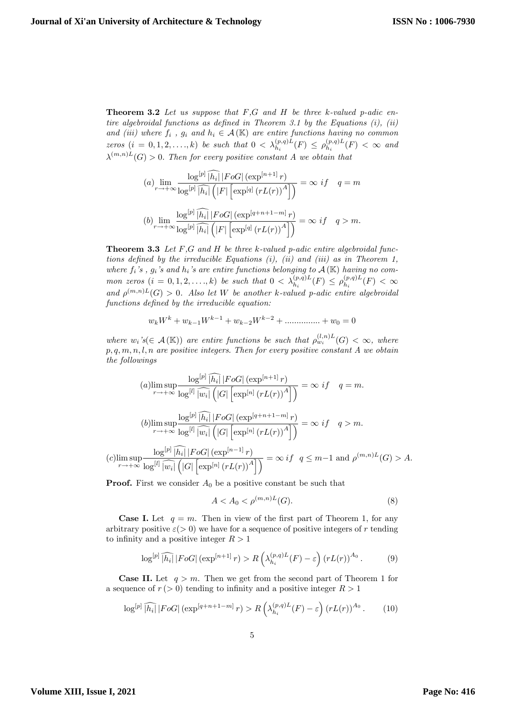**Theorem 3.2** Let us suppose that  $F,G$  and  $H$  be three k-valued p-adic entire algebroidal functions as defined in Theorem 3.1 by the Equations  $(i)$ ,  $(ii)$ and (iii) where  $f_i$ ,  $g_i$  and  $h_i \in \mathcal{A}(\mathbb{K})$  are entire functions having no common zeros  $(i = 0, 1, 2, ..., k)$  be such that  $0 < \lambda_{h_i}^{(p,q)L}(F) \leq \rho_{h_i}^{(p,q)L}$  $\binom{(p,q)L}{h_i}(F) < \infty$  and  $\lambda^{(m,n)L}(G) > 0$ . Then for every positive constant A we obtain that

$$
(a) \lim_{r \to +\infty} \frac{\log^{[p]} \widehat{|h_i|} |F \circ G| \left(\exp^{[n+1]} r\right)}{\log^{[p]} \widehat{|h_i|} \left(|F| \left[\exp^{[q]} \left(rL(r)\right)^A\right]\right)} = \infty \text{ if } q = m
$$
\n
$$
(b) \lim_{r \to +\infty} \frac{\log^{[p]} \widehat{|h_i|} |F \circ G| \left(\exp^{[q+n+1-m]} r\right)}{\log^{[p]} \widehat{|h_i|} \left(|F| \left[\exp^{[q]} \left(rL(r)\right)^A\right]\right)} = \infty \text{ if } q > m.
$$

**Theorem 3.3** Let  $F,G$  and  $H$  be three  $k$ -valued  $p$ -adic entire algebroidal functions defined by the irreducible Equations  $(i)$ ,  $(ii)$  and  $(iii)$  as in Theorem 1, where  $f_i$ 's,  $g_i$ 's and  $h_i$ 's are entire functions belonging to  $\mathcal{A}(\mathbb{K})$  having no common zeros  $(i = 0, 1, 2, ..., k)$  be such that  $0 < \lambda_{h_i}^{(p,q)L}(F) \le \rho_{h_i}^{(p,q)L}$  $b_{h_i}^{(p,q)L}(F) < \infty$ and  $\rho^{(m,n)L}(G) > 0$ . Also let W be another k-valued p-adic entire algebroidal functions defined by the irreducible equation:

$$
w_k W^k + w_{k-1} W^{k-1} + w_{k-2} W^{k-2} + \dots + w_0 = 0
$$

where  $w_i$ 's( $\in$  A(K)) are entire functions be such that  $\rho_{w_i}^{(l,n)L}(G) < \infty$ , where  $p, q, m, n, l, n$  are positive integers. Then for every positive constant A we obtain the followings

(a) 
$$
\limsup_{r \to +\infty} \frac{\log^{|p|} \widehat{|h_i|} |F \circ G| \left(\exp^{[n+1]} r\right)}{\log^{|l|} \widehat{|w_i|} \left(|G| \left[\exp^{[n]} \left(r L(r)\right)^A\right]\right)} = \infty \text{ if } q = m.
$$
  
(b) 
$$
\limsup_{r \to +\infty} \frac{\log^{|p|} \widehat{|h_i|} |F \circ G| \left(\exp^{[q+n+1-m]} r\right)}{\log^{|l|} \widehat{|w_i|} \left(|G| \left[\exp^{[n]} \left(r L(r)\right)^A\right]\right)} = \infty \text{ if } q > m.
$$
  
(c) 
$$
\limsup_{r \to +\infty} \frac{\log^{|p|} \widehat{|h_i|} |F \circ G| \left(\exp^{[n-1]} r\right)}{\log^{|l|} \widehat{|w_i|} \left(|G| \left[\exp^{[n]} \left(r L(r)\right)^A\right]\right)} = \infty \text{ if } q \leq m-1 \text{ and } \rho^{(m,n)L}(G) > A.
$$

**Proof.** First we consider  $A_0$  be a positive constant be such that

$$
A < A_0 < \rho^{(m,n)L}(G). \tag{8}
$$

**Case I.** Let  $q = m$ . Then in view of the first part of Theorem 1, for any arbitrary positive  $\varepsilon$  (> 0) we have for a sequence of positive integers of r tending to infinity and a positive integer  $R > 1$ 

$$
\log^{[p]}\widehat{|h_i|}\,|FoG|\left(\exp^{[n+1]}r\right) > R\left(\lambda_{h_i}^{(p,q)L}(F) - \varepsilon\right)\left(rL(r)\right)^{A_0}.\tag{9}
$$

**Case II.** Let  $q > m$ . Then we get from the second part of Theorem 1 for a sequence of  $r (> 0)$  tending to infinity and a positive integer  $R > 1$ 

$$
\log^{[p]}\widehat{|h_i|}\,|FoG| \left(\exp^{[q+n+1-m]}r\right) > R\left(\lambda_{h_i}^{(p,q)L}(F) - \varepsilon\right) \left(rL(r)\right)^{A_0}.\tag{10}
$$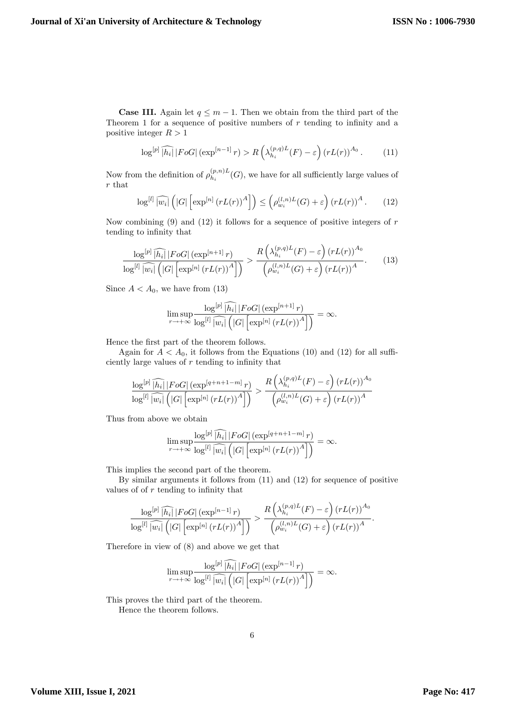**Case III.** Again let  $q \leq m - 1$ . Then we obtain from the third part of the Theorem 1 for a sequence of positive numbers of  $r$  tending to infinity and a positive integer  $R > 1$ 

$$
\log^{[p]} \widehat{|h_i|} |F \circ G| \left(\exp^{[n-1]} r\right) > R\left(\lambda_{h_i}^{(p,q)L}(F) - \varepsilon\right) \left(r L(r)\right)^{A_0}.\tag{11}
$$

Now from the definition of  $\rho_{h_i}^{(p,n)L}$  $h_i^{(p,n)L}(G)$ , we have for all sufficiently large values of r that

$$
\log^{[l]} \widehat{|w_i|} \left( |G| \left[ \exp^{[n]} \left( rL(r) \right)^A \right] \right) \le \left( \rho_{w_i}^{(l,n)L}(G) + \varepsilon \right) \left( rL(r) \right)^A. \tag{12}
$$

Now combining  $(9)$  and  $(12)$  it follows for a sequence of positive integers of r tending to infinity that

$$
\frac{\log^{[p]}\widehat{|h_i|} |F o G| \left(\exp^{[n+1]} r\right)}{\log^{[l]}\widehat{|w_i|} \left(|G| \left[\exp^{[n]} \left(r L(r)\right)^A\right]\right)} > \frac{R\left(\lambda_{h_i}^{(p,q)L}(F) - \varepsilon\right) \left(r L(r)\right)^{A_0}}{\left(\rho_{w_i}^{(l,n)L}(G) + \varepsilon\right) \left(r L(r)\right)^A}.
$$
\n(13)

Since  $A < A_0$ , we have from (13)

$$
\limsup_{r \to +\infty} \frac{\log^{[p]} \widehat{|h_i|} |F o G| \left(\exp^{[n+1]} r\right)}{\log^{[l]} \widehat{|w_i|} \left(|G| \left[\exp^{[n]} \left(r L(r)\right)^A\right]\right)} = \infty.
$$

Hence the first part of the theorem follows.

Again for  $A < A_0$ , it follows from the Equations (10) and (12) for all sufficiently large values of  $r$  tending to infinity that

$$
\frac{\log^{[p]}\widehat{\left|h_{i}\right|}\left|FoG\right|\left(\exp^{[q+n+1-m]}r\right)}{\log^{[l]}\widehat{\left|w_{i}\right|}\left(\left|G\right|\left[\exp^{[n]}\left(rL(r)\right)^{A}\right]\right)} > \frac{R\left(\lambda_{h_{i}}^{(p,q)L}(F) - \varepsilon\right)\left(rL(r)\right)^{A_{0}}}{\left(\rho_{w_{i}}^{(l,n)L}(G) + \varepsilon\right)\left(rL(r)\right)^{A}}
$$

Thus from above we obtain

$$
\limsup_{r \to +\infty} \frac{\log^{[p]} \left[ h_i \right] |F o G| \left( \exp^{[q+n+1-m]} r \right)}{\log^{[l]} \left[ w_i \right] \left( |G| \left[ \exp^{[n]} \left( r L(r) \right)^A \right] \right)} = \infty.
$$

This implies the second part of the theorem.

By similar arguments it follows from (11) and (12) for sequence of positive values of of  $r$  tending to infinity that

$$
\frac{\log^{[p]}\widehat{|h_i|} |F o G| \left(\exp^{[n-1]} r\right)}{\log^{[l]}\widehat{|w_i|} \left(|G| \left[\exp^{[n]} \left(r L(r)\right)^A\right]\right)} > \frac{R\left(\lambda_{h_i}^{(p,q)L}(F) - \varepsilon\right) \left(r L(r)\right)^{A_0}}{\left(\rho_{w_i}^{(l,n)L}(G) + \varepsilon\right) \left(r L(r)\right)^A}.
$$

Therefore in view of (8) and above we get that

$$
\limsup_{r \to +\infty} \frac{\log^{[p]} \overline{h_i} |F \circ G| (\exp^{[n-1]} r)}{\log^{[l]} [w_i] (G| [\exp^{[n]} (r L(r))^{A}])} = \infty.
$$

This proves the third part of the theorem.

Hence the theorem follows.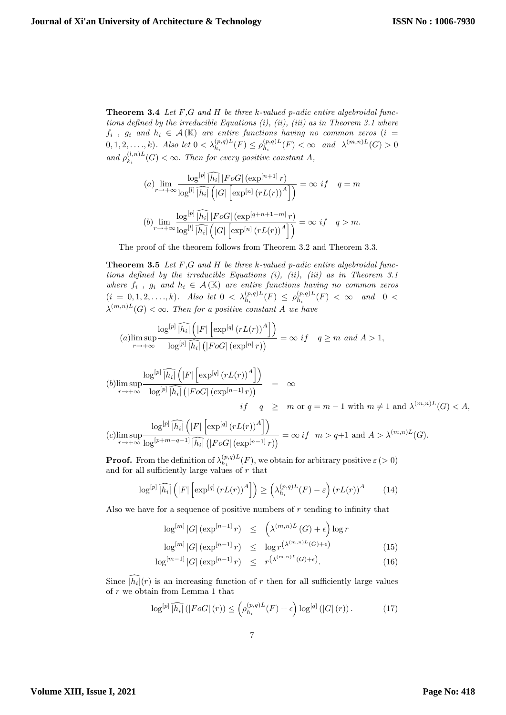**Theorem 3.4** Let  $F$ ,  $G$  and  $H$  be three  $k$ -valued  $p$ -adic entire algebroidal functions defined by the irreducible Equations  $(i)$ ,  $(ii)$ ,  $(iii)$  as in Theorem 3.1 where  $f_i$ ,  $g_i$  and  $h_i \in \mathcal{A}(\mathbb{K})$  are entire functions having no common zeros  $(i =$  $(0, 1, 2, \ldots, k)$ . Also let  $0 < \lambda_{h_i}^{(p,q)L}(F) \le \rho_{h_i}^{(p,q)L}$  $\lambda_{h_i}^{(p,q)L}(F) < \infty$  and  $\lambda^{(m,n)L}(G) > 0$ and  $\rho_k^{(l,n)L}$  $\binom{(i,n)L}{k_i}(G) < \infty$ . Then for every positive constant A,

$$
(a) \lim_{r \to +\infty} \frac{\log^{[p]} \widehat{|h_i|} |F o G| \left(\exp^{[n+1]} r\right)}{\log^{[l]} \widehat{|h_i|} \left(|G| \left[\exp^{[n]} \left(r L(r)\right)^A\right]\right)} = \infty \text{ if } q = m
$$
  

$$
(b) \lim_{r \to +\infty} \frac{\log^{[p]} \widehat{|h_i|} |F o G| \left(\exp^{[q+n+1-m]} r\right)}{\log^{[l]} \widehat{|h_i|} \left(|G| \left[\exp^{[n]} \left(r L(r)\right)^A\right]\right)} = \infty \text{ if } q > m.
$$

The proof of the theorem follows from Theorem 3.2 and Theorem 3.3.

**Theorem 3.5** Let  $F,G$  and  $H$  be three k-valued p-adic entire algebroidal functions defined by the irreducible Equations  $(i)$ ,  $(ii)$ ,  $(iii)$  as in Theorem 3.1 where  $f_i$ ,  $g_i$  and  $h_i \in \mathcal{A}(\mathbb{K})$  are entire functions having no common zeros  $(i = 0, 1, 2, \ldots, k)$ . Also let  $0 < \lambda_{h_i}^{(p,q)L}(F) \le \rho_{h_i}^{(p,q)L}$  $\binom{p,q)L}{h_i}(F) < \infty$  and  $0 <$  $\lambda^{(m,n)L}(G) < \infty$ . Then for a positive constant A we have

$$
(a) \limsup_{r \to +\infty} \frac{\log^{[p]} \widehat{|h_i|} \left( |F| \left[ \exp^{[q]} (rL(r))^{A} \right] \right)}{\log^{[p]} \widehat{|h_i|} \left( |F \circ G| \left( \exp^{[n]} r \right) \right)} = \infty \ if \quad q \ge m \ and \ A > 1,
$$

$$
(b)\limsup_{r \to +\infty} \frac{\log^{[p]} \widehat{|h_i|} \left( |F| \left[ \exp^{[q]} (rL(r))^A \right] \right)}{\log^{[p]} \widehat{|h_i|} \left( |F \circ G| \left( \exp^{[n-1]} r \right) \right)} = \infty
$$
  
if  $q \geq m$  or  $q = m - 1$  with  $m \neq 1$  and  $\lambda^{(m,n)L}(G) < A$ ,

$$
(c)\limsup_{r\to+\infty}\frac{\log^{[p]}\widehat{|h_i|}\left(|F|\left[\exp^{[q]}(rL(r))^A\right]\right)}{\log^{[p+m-q-1]}\widehat{|h_i|}\left(|FoG|\left(\exp^{[n-1]}r\right)\right)}=\infty \ if \ \ m>q+1 \text{ and } A>\lambda^{(m,n)L}(G).
$$

**Proof.** From the definition of  $\lambda_h^{(p,q)L}$  $h_i^{(p,q)L}(F)$ , we obtain for arbitrary positive  $\varepsilon > 0$ ) and for all sufficiently large values of  $r$  that

$$
\log^{[p]} \widehat{|h_i|} \left( |F| \left[ \exp^{[q]} \left( rL(r) \right)^A \right] \right) \ge \left( \lambda_{h_i}^{(p,q)L}(F) - \varepsilon \right) \left( rL(r) \right)^A \tag{14}
$$

Also we have for a sequence of positive numbers of  $r$  tending to infinity that

$$
\log^{[m]}|G| \left(\exp^{[n-1]}r\right) \leq \left(\lambda^{(m,n)L}(G) + \epsilon\right) \log r
$$

$$
\log^{[m]}|G| \left(\exp^{[n-1]}r\right) \leq \log r^{\left(\lambda^{(m,n)L}(G) + \epsilon\right)} \tag{15}
$$

$$
\log^{[m-1]}|G| \left(\exp^{[n-1]}r\right) \leq r^{\left(\lambda^{(m,n)L}(G)+\epsilon\right)}.
$$
 (16)

Since  $|h_i|(r)$  is an increasing function of r then for all sufficiently large values of r we obtain from Lemma 1 that

$$
\log^{[p]} \widehat{|h_i|} (|F \circ G| (r)) \leq \left( \rho_{h_i}^{(p,q)L}(F) + \epsilon \right) \log^{[q]} (|G| (r)). \tag{17}
$$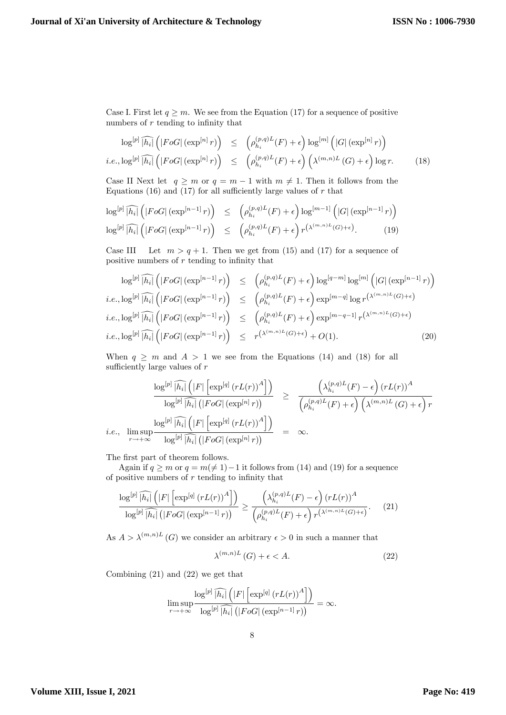Case I. First let  $q \geq m$ . We see from the Equation (17) for a sequence of positive numbers of  $r$  tending to infinity that

$$
\log^{[p]}\widehat{|h_i|}\left(|F \circ G| \left(\exp^{[n]} r\right)\right) \leq \left(\rho_{h_i}^{(p,q)L}(F) + \epsilon\right) \log^{[m]}\left(|G| \left(\exp^{[n]} r\right)\right)
$$
  

$$
i.e., \log^{[p]}\widehat{|h_i|}\left(|F \circ G| \left(\exp^{[n]} r\right)\right) \leq \left(\rho_{h_i}^{(p,q)L}(F) + \epsilon\right)\left(\lambda^{(m,n)L}(G) + \epsilon\right) \log r.
$$
 (18)

Case II Next let  $q \ge m$  or  $q = m - 1$  with  $m \ne 1$ . Then it follows from the Equations (16) and (17) for all sufficiently large values of  $r$  that

$$
\log^{[p]} \widehat{|h_i|} \left( |F \circ G| \left( \exp^{[n-1]} r \right) \right) \leq \left( \rho_{h_i}^{(p,q)L}(F) + \epsilon \right) \log^{[m-1]} \left( |G| \left( \exp^{[n-1]} r \right) \right)
$$
  

$$
\log^{[p]} \widehat{|h_i|} \left( |F \circ G| \left( \exp^{[n-1]} r \right) \right) \leq \left( \rho_{h_i}^{(p,q)L}(F) + \epsilon \right) r^{\left( \lambda^{(m,n)L}(G) + \epsilon \right)}.
$$
 (19)

Case III Let  $m > q + 1$ . Then we get from (15) and (17) for a sequence of positive numbers of  $r$  tending to infinity that

$$
\log^{[p]} \widehat{|h_i|} \left( |F \circ G| \left( \exp^{[n-1]} r \right) \right) \leq \left( \rho_{h_i}^{(p,q)L}(F) + \epsilon \right) \log^{[q-m]} \log^{[m]} \left( |G| \left( \exp^{[n-1]} r \right) \right)
$$
  
*i.e.*,  $\log^{[p]} \widehat{|h_i|} \left( |F \circ G| \left( \exp^{[n-1]} r \right) \right) \leq \left( \rho_{h_i}^{(p,q)L}(F) + \epsilon \right) \exp^{[m-q]} \log r^{\left( \lambda^{(m,n)L}(G) + \epsilon \right)}$   
*i.e.*,  $\log^{[p]} \widehat{|h_i|} \left( |F \circ G| \left( \exp^{[n-1]} r \right) \right) \leq \left( \rho_{h_i}^{(p,q)L}(F) + \epsilon \right) \exp^{[m-q-1]} r^{\left( \lambda^{(m,n)L}(G) + \epsilon \right)}$   
*i.e.*,  $\log^{[p]} \widehat{|h_i|} \left( |F \circ G| \left( \exp^{[n-1]} r \right) \right) \leq r^{\left( \lambda^{(m,n)L}(G) + \epsilon \right)} + O(1).$  (20)

When  $q \geq m$  and  $A > 1$  we see from the Equations (14) and (18) for all sufficiently large values of  $r$ 

$$
\frac{\log^{[p]}\widehat{|h_i|}\left(|F|\left[\exp^{[q]}(rL(r))^A\right]\right)}{\log^{[p]}\widehat{|h_i|}\left(|F \circ G|\left(\exp^{[n]}r\right)\right)} \geq \frac{\left(\lambda_{h_i}^{(p,q)L}(F) - \epsilon\right)(rL(r))^A}{\left(\rho_{h_i}^{(p,q)L}(F) + \epsilon\right)\left(\lambda^{(m,n)L}(G) + \epsilon\right)r}
$$
  
*i.e.*, 
$$
\limsup_{r \to +\infty} \frac{\log^{[p]}\widehat{|h_i|}\left(|F|\left[\exp^{[q]}(rL(r))^A\right]\right)}{\log^{[p]}\widehat{|h_i|}\left(|F \circ G|\left(\exp^{[n]}r\right)\right)} = \infty.
$$

The first part of theorem follows.

Again if  $q \ge m$  or  $q = m(\ne 1)-1$  it follows from (14) and (19) for a sequence of positive numbers of  $r$  tending to infinity that

$$
\frac{\log^{[p]}\widehat{|h_i|}\left(|F|\left[\exp^{[q]}(rL(r))^A\right]\right)}{\log^{[p]}\widehat{|h_i|}\left(|F \circ G|\left(\exp^{[n-1]}r\right)\right)} \ge \frac{\left(\lambda_{h_i}^{(p,q)L}(F) - \epsilon\right)(rL(r))^A}{\left(\rho_{h_i}^{(p,q)L}(F) + \epsilon\right)r^{\left(\lambda^{(m,n)L}(G) + \epsilon\right)}}.\tag{21}
$$

As  $A > \lambda^{(m,n)L}(G)$  we consider an arbitrary  $\epsilon > 0$  in such a manner that

$$
\lambda^{(m,n)L}(G) + \epsilon < A. \tag{22}
$$

Combining (21) and (22) we get that

$$
\limsup_{r \to +\infty} \frac{\log^{[p]} \widehat{|h_i|} \left( |F| \left[ \exp^{[q]} (rL(r))^A \right] \right)}{\log^{[p]} \widehat{|h_i|} \left( |FoG| \left( \exp^{[n-1]} r \right) \right)} = \infty.
$$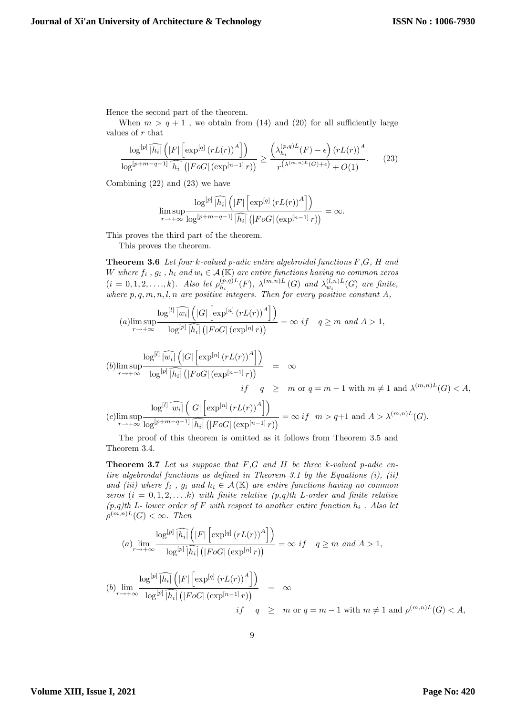Hence the second part of the theorem.

When  $m > q + 1$ , we obtain from (14) and (20) for all sufficiently large values of r that

$$
\frac{\log^{[p]}\widehat{|h_i|}\left(|F|\left[\exp^{[q]}(rL(r))^A\right]\right)}{\log^{[p+m-q-1]}\widehat{|h_i|}\left(|F \circ G|\left(\exp^{[n-1]}r\right)\right)} \ge \frac{\left(\lambda_{h_i}^{(p,q)L}(F) - \epsilon\right)(rL(r))^A}{r^{\left(\lambda^{(m,n)L}(G) + \epsilon\right)} + O(1)}.\tag{23}
$$

Combining (22) and (23) we have

$$
\limsup_{r \to +\infty} \frac{\log^{[p]} \widehat{|h_i|} \left( |F| \left[ \exp^{[q]} (rL(r))^{A} \right] \right)}{\log^{[p+m-q-1]} \widehat{|h_i|} \left( |FoG| \left( \exp^{[n-1]} r \right) \right)} = \infty.
$$

This proves the third part of the theorem.

This proves the theorem.

Theorem 3.6 Let four k-valued p-adic entire algebroidal functions F,G, H and W where  $f_i$ ,  $g_i$ ,  $h_i$  and  $w_i \in \mathcal{A}(\mathbb{K})$  are entire functions having no common zeros  $(i = 0, 1, 2, \ldots, k)$ . Also let  $\rho_{h_i}^{(p,q)L}$  $\lambda_{h_i}^{(p,q)L}(F)$ ,  $\lambda^{(m,n)L}(G)$  and  $\lambda_{w_i}^{(l,n)L}(G)$  are finite, where  $p, q, m, n, l, n$  are positive integers. Then for every positive constant A,

$$
(a) \limsup_{r \to +\infty} \frac{\log^{[l]} \widehat{|u_i|} \left( |G| \left[ \exp^{[n]} (rL(r))^A \right] \right)}{\log^{[p]} \widehat{|h_i|} \left( |FoG| \left( \exp^{[n]} r \right) \right)} = \infty \ if \quad q \ge m \ and \ A > 1,
$$

$$
(b)\limsup_{r \to +\infty} \frac{\log^{[l]} \widehat{|w_i|} \left( |G| \left[ \exp^{[n]} \left( rL(r) \right)^A \right] \right)}{\log^{[p]} \widehat{|h_i|} \left( |FoG| \left( \exp^{[n-1]} r \right) \right)} = \infty
$$
  
*if*  $q \geq m$  or  $q = m - 1$  with  $m \neq 1$  and  $\lambda^{(m,n)L}(G) < A$ ,

$$
(c)\limsup_{r\rightarrow +\infty}\frac{\log^{[l]}\widehat{|w_i|}\left(|G|\left[\exp^{[n]}\left(rL(r)\right)^A\right]\right)}{\log^{[p+m-q-1]}\widehat{|h_i|}\left(|FoG|\left(\exp^{[n-1]}r\right)\right)}=\infty \ if \ \ m>q+1 \text{ and } A>\lambda^{(m,n)L}(G).
$$

The proof of this theorem is omitted as it follows from Theorem 3.5 and Theorem 3.4.

**Theorem 3.7** Let us suppose that  $F,G$  and  $H$  be three k-valued p-adic entire algebroidal functions as defined in Theorem 3.1 by the Equations  $(i)$ ,  $(ii)$ and (iii) where  $f_i$ ,  $g_i$  and  $h_i \in \mathcal{A}(\mathbb{K})$  are entire functions having no common zeros  $(i = 0, 1, 2, \ldots k)$  with finite relative  $(p,q)$ th L-order and finite relative  $(p,q)$ th L- lower order of F with respect to another entire function  $h_i$ . Also let  $\rho^{(m,n)L}(G) < \infty$ . Then

$$
(a) \lim_{r \to +\infty} \frac{\log^{[p]} \widehat{|h_i|} \left( |F| \left[ \exp^{[q]} (rL(r))^A \right] \right)}{\log^{[p]} \widehat{|h_i|} \left( |F \circ G| \left( \exp^{[n]} r \right) \right)} = \infty \text{ if } q \ge m \text{ and } A > 1,
$$

$$
(b) \lim_{r \to +\infty} \frac{\log^{[p]} \widehat{|h_i|} \left( |F| \left[ \exp^{[q]} (rL(r))^A \right] \right)}{\log^{[p]} \widehat{|h_i|} \left( |F \circ G| \left( \exp^{[n-1]} r \right) \right)} = \infty
$$
  
if  $q \geq m$  or  $q = m - 1$  with  $m \neq 1$  and  $\rho^{(m,n)L}(G) < A$ ,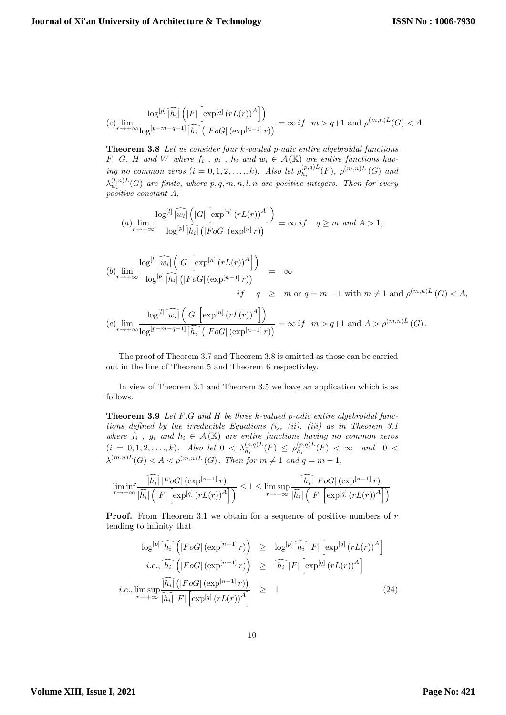$$
(c)\lim_{r\to+\infty}\frac{\log^{[p]}\widehat{|h_i|}\left(|F|\left[\exp^{[q]}\left(rL(r)\right)^A\right]\right)}{\log^{[p+m-q-1]}\widehat{|h_i|}\left(|FoG|\left(\exp^{[n-1]}r\right)\right)}=\infty \ if \ \ m>q+1 \text{ and } \rho^{(m,n)L}(G)
$$

Theorem 3.8 Let us consider four k-vauled p-adic entire algebroidal functions F, G, H and W where  $f_i$ ,  $g_i$ ,  $h_i$  and  $w_i \in \mathcal{A}(\mathbb{K})$  are entire functions having no common zeros  $(i = 0, 1, 2, \ldots, k)$ . Also let  $\rho_h^{(p,q)L}$  $h_i^{(p,q)L}(F)$ ,  $\rho^{(m,n)L}(G)$  and  $\lambda_{w_i}^{(l,n)L}(G)$  are finite, where  $p,q,m,n,l,n$  are positive integers. Then for every positive constant A,

$$
(a) \lim_{r \to +\infty} \frac{\log^{[l]} \widehat{|w_i|} \left( |G| \left[ \exp^{[n]} \left( rL(r) \right)^A \right] \right)}{\log^{[p]} \widehat{|h_i|} \left( |FoG| \left( \exp^{[n]} r \right) \right)} = \infty \text{ if } q \ge m \text{ and } A > 1,
$$

$$
(b) \lim_{r \to +\infty} \frac{\log^{[l]} \widehat{|w_i|} \left( |G| \left[ \exp^{[n]} \left( rL(r) \right)^A \right] \right)}{\log^{[p]} \widehat{|h_i|} \left( |F \circ G| \left( \exp^{[n-1]} r \right) \right)} = \infty
$$
  
if  $q \geq m$  or  $q = m - 1$  with  $m \neq 1$  and  $\rho^{(m,n)L}(G) < A$ ,

$$
(c)\lim_{r\to+\infty}\frac{\log^{[l]}\widehat{|w_i|}\left(|G|\left[\exp^{[n]}\left(rL(r)\right)^A\right]\right)}{\log^{[p+m-q-1]}\widehat{|h_i|}\left(|FoG|\left(\exp^{[n-1]}r\right)\right)}=\infty\ if\ \ m>q+1\ \text{and}\ A>\rho^{(m,n)L}\left(G\right).
$$

The proof of Theorem 3.7 and Theorem 3.8 is omitted as those can be carried out in the line of Theorem 5 and Theorem 6 respectivley.

In view of Theorem 3.1 and Theorem 3.5 we have an application which is as follows.

**Theorem 3.9** Let  $F$ ,  $G$  and  $H$  be three  $k$ -valued p-adic entire algebroidal functions defined by the irreducible Equations  $(i)$ ,  $(ii)$ ,  $(iii)$  as in Theorem 3.1 where  $f_i$ ,  $g_i$  and  $h_i \in \mathcal{A}(\mathbb{K})$  are entire functions having no common zeros  $(i = 0, 1, 2, \ldots, k)$ . Also let  $0 < \lambda_{h_i}^{(p,q)L}(F) \le \rho_{h_i}^{(p,q)L}$  $\binom{p,q)L}{h_i}(F) < \infty$  and  $0 <$  $\lambda^{(m,n)L}(G) < A < \rho^{(m,n)L}(G)$ . Then for  $m \neq 1$  and  $q = m - 1$ ,

$$
\liminf_{r \to +\infty} \frac{\left\lceil h_i \right\rceil |F \circ G| \left( \exp^{[n-1]} r \right)}{\left\lceil h_i \right\rceil \left( |F| \left[ \exp^{[q]} \left( rL(r) \right)^A \right] \right)} \le 1 \le \limsup_{r \to +\infty} \frac{\left\lceil h_i \right\rceil |F \circ G| \left( \exp^{[n-1]} r \right)}{\left\lceil h_i \right\rceil \left( |F| \left[ \exp^{[q]} \left( rL(r) \right)^A \right] \right)}
$$

**Proof.** From Theorem 3.1 we obtain for a sequence of positive numbers of  $r$ tending to infinity that

$$
\log^{[p]} \widehat{|h_i|} \left( |F \circ G| \left( \exp^{[n-1]} r \right) \right) \geq \log^{[p]} \widehat{|h_i|} |F| \left[ \exp^{[q]} \left( r L(r) \right)^A \right]
$$
  
*i.e.*,  $\widehat{|h_i|} \left( |F \circ G| \left( \exp^{[n-1]} r \right) \right) \geq \widehat{|h_i|} |F| \left[ \exp^{[q]} \left( r L(r) \right)^A \right]$   
*i.e.*,  $\limsup_{r \to +\infty} \frac{\widehat{|h_i|} \left( |F \circ G| \left( \exp^{[n-1]} r \right) \right)}{\widehat{|h_i|} |F| \left[ \exp^{[q]} \left( r L(r) \right)^A \right]} \geq 1$  (24)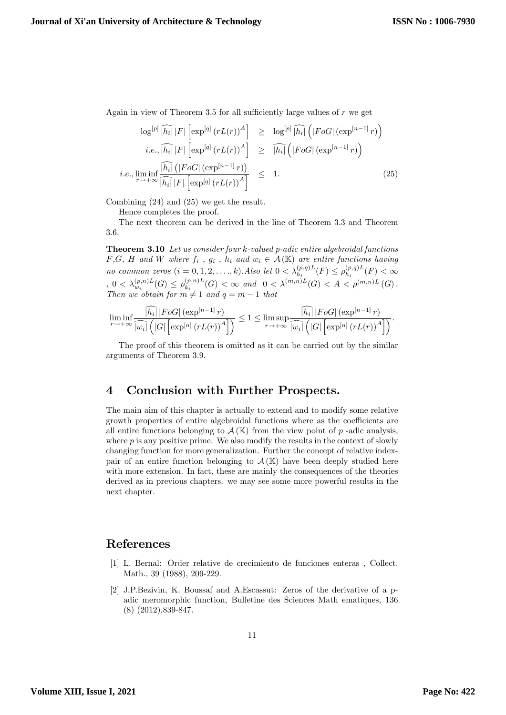Again in view of Theorem 3.5 for all sufficiently large values of  $r$  we get

$$
\log^{[p]} \widehat{|h_i|} |F| \left[ \exp^{[q]} (rL(r))^A \right] \geq \log^{[p]} \widehat{|h_i|} \left( |F \circ G| \left( \exp^{[n-1]} r \right) \right)
$$
  
*i.e.*,  $|\widehat{|h_i|} |F| \left[ \exp^{[q]} (rL(r))^A \right] \geq |\widehat{|h_i|} \left( |F \circ G| \left( \exp^{[n-1]} r \right) \right)$   
*i.e.*,  $\liminf_{r \to +\infty} \frac{|\widehat{|h_i|} \left( |F \circ G| \left( \exp^{[n-1]} r \right) \right)}{|\widehat{|h_i|} |F| \left[ \exp^{[q]} (rL(r))^A \right]} \leq 1.$  (25)

Combining (24) and (25) we get the result.

Hence completes the proof.

The next theorem can be derived in the line of Theorem 3.3 and Theorem 3.6.

Theorem 3.10 Let us consider four k-valued p-adic entire algebroidal functions  $F,G$ , H and W where  $f_i$ ,  $g_i$ ,  $h_i$  and  $w_i \in \mathcal{A}(\mathbb{K})$  are entire functions having no common zeros  $(i = 0, 1, 2, \ldots, k)$ . Also let  $0 < \lambda_{h_i}^{(p,q)L}(F) \leq \rho_{h_i}^{(p,q)L}$  $b_{h_i}^{(p,q)L}(F)<\infty$  $, 0 < \lambda_{w_i}^{(p,n)L}(G) \leq \rho_{k_i}^{(p,n)L}$  $(k_{i}^{(p,n)L}(G) < \infty$  and  $0 < \lambda^{(m,n)L}(G) < A < \rho^{(m,n)L}(G)$ . Then we obtain for  $m \neq 1$  and  $q = m - 1$  that

$$
\liminf_{r\rightarrow+\infty}\frac{\widehat{\left |h_{i} \right |}\left |FoG \right | \left (\exp^{[n-1]}r\right )}{\widehat{\left |w_{i} \right |}\left (\left |G \right | \left [\exp^{[n]} \left (rL(r)\right )^{A} \right ]\right )}\leq 1\leq \limsup_{r\rightarrow+\infty}\frac{\widehat{\left |h_{i} \right |}\left |FoG \right | \left (\exp^{[n-1]}r\right )}{\widehat{\left |w_{i} \right |}\left (\left |G \right | \left [\exp^{[n]} \left (rL(r)\right )^{A} \right ]\right )}.
$$

The proof of this theorem is omitted as it can be carried out by the similar arguments of Theorem 3.9.

#### 4 Conclusion with Further Prospects.

The main aim of this chapter is actually to extend and to modify some relative growth properties of entire algebroidal functions where as the coefficients are all entire functions belonging to  $\mathcal{A}(\mathbb{K})$  from the view point of p-adic analysis, where  $p$  is any positive prime. We also modify the results in the context of slowly changing function for more generalization. Further the concept of relative indexpair of an entire function belonging to  $\mathcal{A}(\mathbb{K})$  have been deeply studied here with more extension. In fact, these are mainly the consequences of the theories derived as in previous chapters. we may see some more powerful results in the next chapter.

#### References

- [1] L. Bernal: Order relative de crecimiento de funciones enteras , Collect. Math., 39 (1988), 209-229.
- [2] J.P.Bezivin, K. Boussaf and A.Escassut: Zeros of the derivative of a padic meromorphic function, Bulletine des Sciences Math ematiques, 136 (8) (2012),839-847.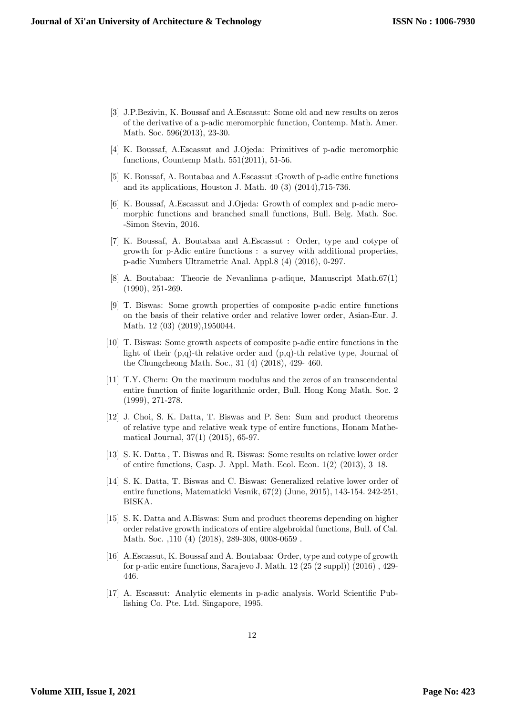- [3] J.P.Bezivin, K. Boussaf and A.Escassut: Some old and new results on zeros of the derivative of a p-adic meromorphic function, Contemp. Math. Amer. Math. Soc. 596(2013), 23-30.
- [4] K. Boussaf, A.Escassut and J.Ojeda: Primitives of p-adic meromorphic functions, Countemp Math. 551(2011), 51-56.
- [5] K. Boussaf, A. Boutabaa and A.Escassut :Growth of p-adic entire functions and its applications, Houston J. Math. 40 (3) (2014),715-736.
- [6] K. Boussaf, A.Escassut and J.Ojeda: Growth of complex and p-adic meromorphic functions and branched small functions, Bull. Belg. Math. Soc. -Simon Stevin, 2016.
- [7] K. Boussaf, A. Boutabaa and A.Escassut : Order, type and cotype of growth for p-Adic entire functions : a survey with additional properties, p-adic Numbers Ultrametric Anal. Appl.8 (4) (2016), 0-297.
- [8] A. Boutabaa: Theorie de Nevanlinna p-adique, Manuscript Math.67(1) (1990), 251-269.
- [9] T. Biswas: Some growth properties of composite p-adic entire functions on the basis of their relative order and relative lower order, Asian-Eur. J. Math. 12 (03) (2019),1950044.
- [10] T. Biswas: Some growth aspects of composite p-adic entire functions in the light of their (p,q)-th relative order and (p,q)-th relative type, Journal of the Chungcheong Math. Soc., 31 (4) (2018), 429- 460.
- [11] T.Y. Chern: On the maximum modulus and the zeros of an transcendental entire function of Önite logarithmic order, Bull. Hong Kong Math. Soc. 2 (1999), 271-278.
- [12] J. Choi, S. K. Datta, T. Biswas and P. Sen: Sum and product theorems of relative type and relative weak type of entire functions, Honam Mathematical Journal, 37(1) (2015), 65-97.
- [13] S. K. Datta , T. Biswas and R. Biswas: Some results on relative lower order of entire functions, Casp. J. Appl. Math. Ecol. Econ.  $1(2)$   $(2013)$ ,  $3-18$ .
- [14] S. K. Datta, T. Biswas and C. Biswas: Generalized relative lower order of entire functions, Matematicki Vesnik, 67(2) (June, 2015), 143-154. 242-251, BISKA.
- [15] S. K. Datta and A.Biswas: Sum and product theorems depending on higher order relative growth indicators of entire algebroidal functions, Bull. of Cal. Math. Soc. ,110 (4) (2018), 289-308, 0008-0659 .
- [16] A.Escassut, K. Boussaf and A. Boutabaa: Order, type and cotype of growth for p-adic entire functions, Sarajevo J. Math. 12 (25 (2 suppl)) (2016) , 429- 446.
- [17] A. Escassut: Analytic elements in p-adic analysis. World Scientific Publishing Co. Pte. Ltd. Singapore, 1995.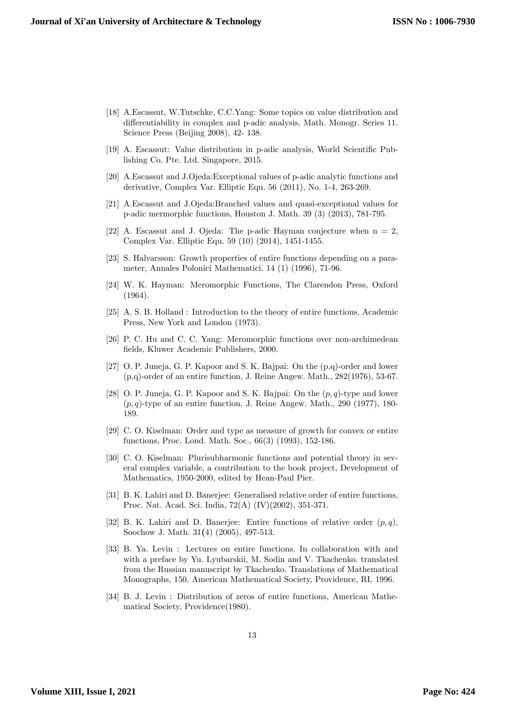- [18] A.Escassut, W.Tutschke, C.C.Yang: Some topics on value distribution and differentiability in complex and p-adic analysis, Math. Monogr. Series 11. Science Press (Beijing 2008), 42- 138.
- [19] A. Escassut: Value distribution in p-adic analysis, World Scientific Publishing Co. Pte. Ltd. Singapore, 2015.
- [20] A.Escassut and J.Ojeda:Exceptional values of p-adic analytic functions and derivative, Complex Var. Elliptic Equ. 56 (2011), No. 1-4, 263-269.
- [21] A.Escassut and J.Ojeda:Branched values and quasi-exceptional values for p-adic mermorphic functions, Houston J. Math. 39 (3) (2013), 781-795.
- [22] A. Escassut and J. Ojeda: The p-adic Hayman conjecture when  $n = 2$ , Complex Var. Elliptic Equ. 59 (10) (2014), 1451-1455.
- [23] S. Halvarsson: Growth properties of entire functions depending on a parameter, Annales Polonici Mathematici, 14 (1) (1996), 71-96.
- [24] W. K. Hayman: Meromorphic Functions, The Clarendon Press, Oxford (1964).
- [25] A. S. B. Holland : Introduction to the theory of entire functions, Academic Press, New York and London (1973).
- [26] P. C. Hu and C. C. Yang: Meromorphic functions over non-archimedean Öelds, Kluwer Academic Publishers, 2000.
- [27] O. P. Juneja, G. P. Kapoor and S. K. Bajpai: On the (p,q)-order and lower (p,q)-order of an entire function, J. Reine Angew. Math., 282(1976), 53-67.
- [28] O. P. Juneja, G. P. Kapoor and S. K. Bajpai: On the  $(p, q)$ -type and lower  $(p, q)$ -type of an entire function, J. Reine Angew. Math., 290 (1977), 180-189.
- [29] C. O. Kiselman: Order and type as measure of growth for convex or entire functions, Proc. Lond. Math. Soc., 66(3) (1993), 152-186.
- [30] C. O. Kiselman: Plurisubharmonic functions and potential theory in several complex variable, a contribution to the book project, Development of Mathematics, 1950-2000, edited by Hean-Paul Pier.
- [31] B. K. Lahiri and D. Banerjee: Generalised relative order of entire functions, Proc. Nat. Acad. Sci. India, 72(A) (IV)(2002), 351-371.
- [32] B. K. Lahiri and D. Banerjee: Entire functions of relative order  $(p, q)$ , Soochow J. Math. 31(4) (2005), 497-513.
- [33] B. Ya. Levin : Lectures on entire functions. In collaboration with and with a preface by Yu. Lyubarskii, M. Sodin and V. Tkachenko. translated from the Russian manuscript by Tkachenko. Translations of Mathematical Monographs, 150. American Mathematical Society, Providence, RI, 1996.
- [34] B. J. Levin : Distribution of zeros of entire functions, American Mathematical Society, Providence(1980).